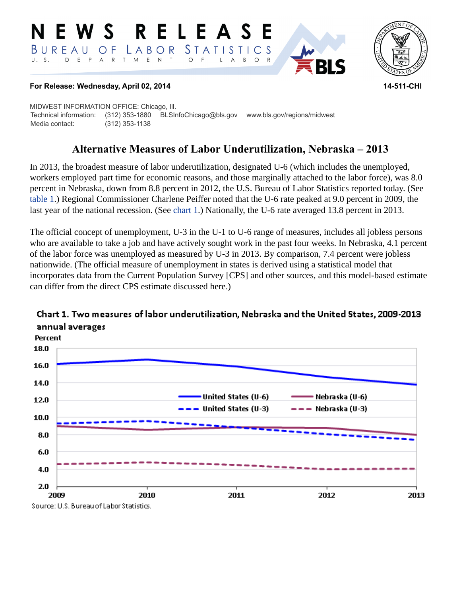#### RELEASE NEWS *STATISTICS* LABOR  $B$  U R E A U O F E N T D E P A R T M  $\circ$  $B$  $\circ$  $\overline{A}$



#### **For Release: Wednesday, April 02, 2014 14-511-CHI**

MIDWEST INFORMATION OFFICE: Chicago, Ill. Technical information: (312) 353-1880 BLSInfoChicago@bls.gov www.bls.gov/regions/midwest Media contact: (312) 353-1138

# **Alternative Measures of Labor Underutilization, Nebraska – 2013**

In 2013, the broadest measure of labor underutilization, designated U-6 (which includes the unemployed, workers employed part time for economic reasons, and those marginally attached to the labor force), was 8.0 percent in Nebraska, down from 8.8 percent in 2012, the U.S. Bureau of Labor Statistics reported today. (See [table 1.](#page-4-0)) Regional Commissioner Charlene Peiffer noted that the U-6 rate peaked at 9.0 percent in 2009, the last year of the national recession. (See [chart 1](#page-0-0).) Nationally, the U-6 rate averaged 13.8 percent in 2013.

The official concept of unemployment, U-3 in the U-1 to U-6 range of measures, includes all jobless persons who are available to take a job and have actively sought work in the past four weeks. In Nebraska, 4.1 percent of the labor force was unemployed as measured by U-3 in 2013. By comparison, 7.4 percent were jobless nationwide. (The official measure of unemployment in states is derived using a statistical model that incorporates data from the Current Population Survey [CPS] and other sources, and this model-based estimate can differ from the direct CPS estimate discussed here.)



## <span id="page-0-0"></span>Chart 1. Two measures of labor underutilization, Nebraska and the United States, 2009-2013 annual averages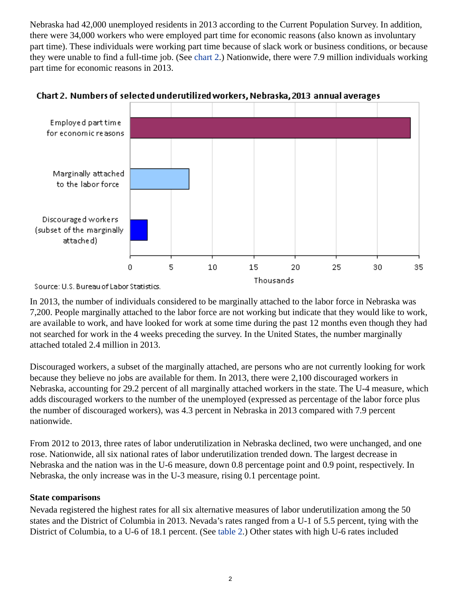Nebraska had 42,000 unemployed residents in 2013 according to the Current Population Survey. In addition, there were 34,000 workers who were employed part time for economic reasons (also known as involuntary part time). These individuals were working part time because of slack work or business conditions, or because they were unable to find a full-time job. (See [chart 2](#page-1-0).) Nationwide, there were 7.9 million individuals working part time for economic reasons in 2013.



<span id="page-1-0"></span>

Source: U.S. Bureau of Labor Statistics.

In 2013, the number of individuals considered to be marginally attached to the labor force in Nebraska was 7,200. People marginally attached to the labor force are not working but indicate that they would like to work, are available to work, and have looked for work at some time during the past 12 months even though they had not searched for work in the 4 weeks preceding the survey. In the United States, the number marginally attached totaled 2.4 million in 2013.

Discouraged workers, a subset of the marginally attached, are persons who are not currently looking for work because they believe no jobs are available for them. In 2013, there were 2,100 discouraged workers in Nebraska, accounting for 29.2 percent of all marginally attached workers in the state. The U-4 measure, which adds discouraged workers to the number of the unemployed (expressed as percentage of the labor force plus the number of discouraged workers), was 4.3 percent in Nebraska in 2013 compared with 7.9 percent nationwide.

From 2012 to 2013, three rates of labor underutilization in Nebraska declined, two were unchanged, and one rose. Nationwide, all six national rates of labor underutilization trended down. The largest decrease in Nebraska and the nation was in the U-6 measure, down 0.8 percentage point and 0.9 point, respectively. In Nebraska, the only increase was in the U-3 measure, rising 0.1 percentage point.

### **State comparisons**

Nevada registered the highest rates for all six alternative measures of labor underutilization among the 50 states and the District of Columbia in 2013. Nevada's rates ranged from a U-1 of 5.5 percent, tying with the District of Columbia, to a U-6 of 18.1 percent. (See [table 2](#page-5-0).) Other states with high U-6 rates included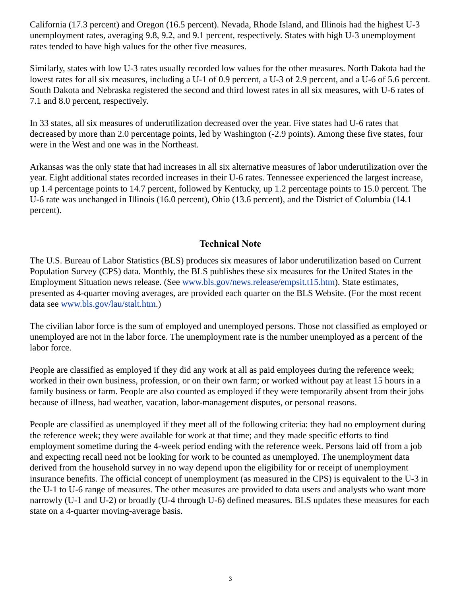California (17.3 percent) and Oregon (16.5 percent). Nevada, Rhode Island, and Illinois had the highest U-3 unemployment rates, averaging 9.8, 9.2, and 9.1 percent, respectively. States with high U-3 unemployment rates tended to have high values for the other five measures.

Similarly, states with low U-3 rates usually recorded low values for the other measures. North Dakota had the lowest rates for all six measures, including a U-1 of 0.9 percent, a U-3 of 2.9 percent, and a U-6 of 5.6 percent. South Dakota and Nebraska registered the second and third lowest rates in all six measures, with U-6 rates of 7.1 and 8.0 percent, respectively.

In 33 states, all six measures of underutilization decreased over the year. Five states had U-6 rates that decreased by more than 2.0 percentage points, led by Washington (-2.9 points). Among these five states, four were in the West and one was in the Northeast.

Arkansas was the only state that had increases in all six alternative measures of labor underutilization over the year. Eight additional states recorded increases in their U-6 rates. Tennessee experienced the largest increase, up 1.4 percentage points to 14.7 percent, followed by Kentucky, up 1.2 percentage points to 15.0 percent. The U-6 rate was unchanged in Illinois (16.0 percent), Ohio (13.6 percent), and the District of Columbia (14.1 percent).

## **Technical Note**

The U.S. Bureau of Labor Statistics (BLS) produces six measures of labor underutilization based on Current Population Survey (CPS) data. Monthly, the BLS publishes these six measures for the United States in the Employment Situation news release. (See [www.bls.gov/news.release/empsit.t15.htm\)](https://www.bls.gov/news.release/empsit.t15.htm). State estimates, presented as 4-quarter moving averages, are provided each quarter on the BLS Website. (For the most recent data see [www.bls.gov/lau/stalt.htm](https://www.bls.gov/lau/stalt.htm).)

The civilian labor force is the sum of employed and unemployed persons. Those not classified as employed or unemployed are not in the labor force. The unemployment rate is the number unemployed as a percent of the labor force.

People are classified as employed if they did any work at all as paid employees during the reference week; worked in their own business, profession, or on their own farm; or worked without pay at least 15 hours in a family business or farm. People are also counted as employed if they were temporarily absent from their jobs because of illness, bad weather, vacation, labor-management disputes, or personal reasons.

People are classified as unemployed if they meet all of the following criteria: they had no employment during the reference week; they were available for work at that time; and they made specific efforts to find employment sometime during the 4-week period ending with the reference week. Persons laid off from a job and expecting recall need not be looking for work to be counted as unemployed. The unemployment data derived from the household survey in no way depend upon the eligibility for or receipt of unemployment insurance benefits. The official concept of unemployment (as measured in the CPS) is equivalent to the U-3 in the U-1 to U-6 range of measures. The other measures are provided to data users and analysts who want more narrowly (U-1 and U-2) or broadly (U-4 through U-6) defined measures. BLS updates these measures for each state on a 4-quarter moving-average basis.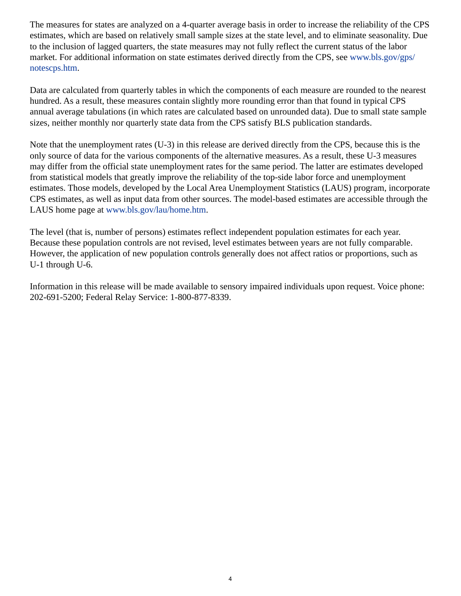The measures for states are analyzed on a 4-quarter average basis in order to increase the reliability of the CPS estimates, which are based on relatively small sample sizes at the state level, and to eliminate seasonality. Due to the inclusion of lagged quarters, the state measures may not fully reflect the current status of the labor market. For additional information on state estimates derived directly from the CPS, see [www.bls.gov/gps/](https://www.bls.gov/gps/notescps.htm) [notescps.htm.](https://www.bls.gov/gps/notescps.htm)

Data are calculated from quarterly tables in which the components of each measure are rounded to the nearest hundred. As a result, these measures contain slightly more rounding error than that found in typical CPS annual average tabulations (in which rates are calculated based on unrounded data). Due to small state sample sizes, neither monthly nor quarterly state data from the CPS satisfy BLS publication standards.

Note that the unemployment rates (U-3) in this release are derived directly from the CPS, because this is the only source of data for the various components of the alternative measures. As a result, these U-3 measures may differ from the official state unemployment rates for the same period. The latter are estimates developed from statistical models that greatly improve the reliability of the top-side labor force and unemployment estimates. Those models, developed by the Local Area Unemployment Statistics (LAUS) program, incorporate CPS estimates, as well as input data from other sources. The model-based estimates are accessible through the LAUS home page at [www.bls.gov/lau/home.htm.](https://www.bls.gov/lau/home.htm)

The level (that is, number of persons) estimates reflect independent population estimates for each year. Because these population controls are not revised, level estimates between years are not fully comparable. However, the application of new population controls generally does not affect ratios or proportions, such as U-1 through U-6.

Information in this release will be made available to sensory impaired individuals upon request. Voice phone: 202-691-5200; Federal Relay Service: 1-800-877-8339.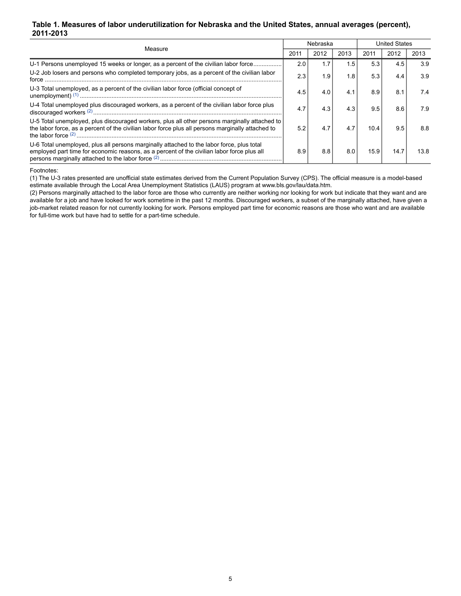#### <span id="page-4-0"></span>**Table 1. Measures of labor underutilization for Nebraska and the United States, annual averages (percent), 2011-2013**

| Measure                                                                                                                                                                                            |     | Nebraska |      |      | <b>United States</b> |      |  |
|----------------------------------------------------------------------------------------------------------------------------------------------------------------------------------------------------|-----|----------|------|------|----------------------|------|--|
|                                                                                                                                                                                                    |     | 2012     | 2013 | 2011 | 2012                 | 2013 |  |
| U-1 Persons unemployed 15 weeks or longer, as a percent of the civilian labor force                                                                                                                | 2.0 | 1.7      | 1.5  | 5.3  | 4.5                  | 3.9  |  |
| U-2 Job losers and persons who completed temporary jobs, as a percent of the civilian labor<br>force                                                                                               | 2.3 | 1.9      | 1.8  | 5.3  | 4.4                  | 3.9  |  |
| U-3 Total unemployed, as a percent of the civilian labor force (official concept of                                                                                                                | 4.5 | 4.0      | 4.1  | 8.9  | 8.1                  | 7.4  |  |
| U-4 Total unemployed plus discouraged workers, as a percent of the civilian labor force plus                                                                                                       | 4.7 | 4.3      | 4.3  | 9.5  | 8.6                  | 7.9  |  |
| U-5 Total unemployed, plus discouraged workers, plus all other persons marginally attached to<br>the labor force, as a percent of the civilian labor force plus all persons marginally attached to | 52  |          | 4.7  | 10.4 | 9.5                  | 8.8  |  |
| U-6 Total unemployed, plus all persons marginally attached to the labor force, plus total<br>employed part time for economic reasons, as a percent of the civilian labor force plus all            | 8.9 | 8.8      | 8.0  | 15.9 | 14.7                 | 13.8 |  |

Footnotes:

<span id="page-4-1"></span>(1) The U-3 rates presented are unofficial state estimates derived from the Current Population Survey (CPS). The official measure is a model-based estimate available through the Local Area Unemployment Statistics (LAUS) program at www.bls.gov/lau/data.htm.

<span id="page-4-2"></span>(2) Persons marginally attached to the labor force are those who currently are neither working nor looking for work but indicate that they want and are available for a job and have looked for work sometime in the past 12 months. Discouraged workers, a subset of the marginally attached, have given a job-market related reason for not currently looking for work. Persons employed part time for economic reasons are those who want and are available for full-time work but have had to settle for a part-time schedule.